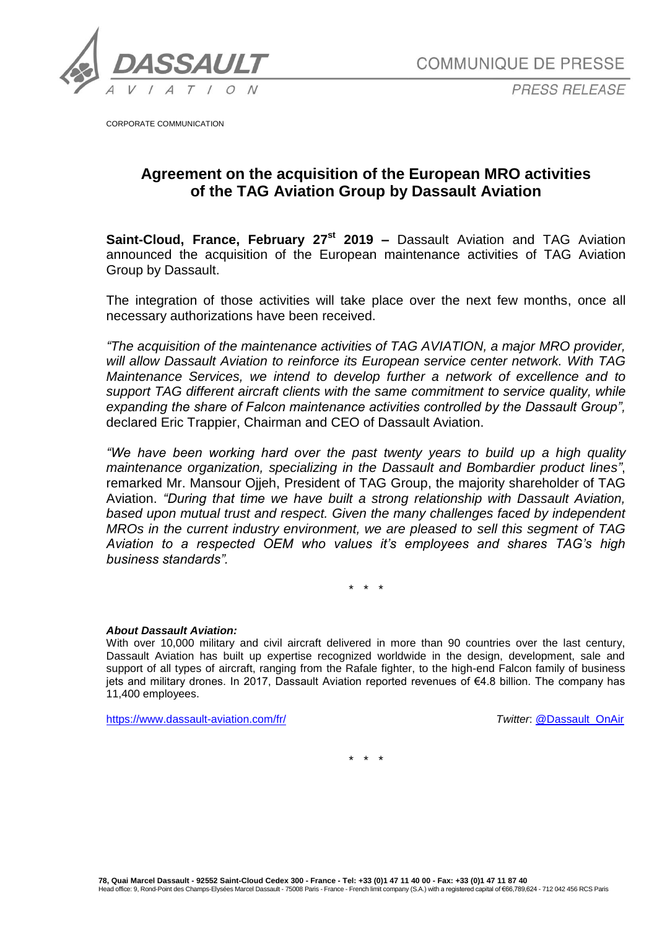

**COMMUNIQUE DE PRESSE** 

**PRESS RELEASE** 

CORPORATE COMMUNICATION

## **Agreement on the acquisition of the European MRO activities of the TAG Aviation Group by Dassault Aviation**

**Saint-Cloud, France, February 27<sup>st</sup> 2019 –** Dassault Aviation and TAG Aviation announced the acquisition of the European maintenance activities of TAG Aviation Group by Dassault.

The integration of those activities will take place over the next few months, once all necessary authorizations have been received.

*"The acquisition of the maintenance activities of TAG AVIATION, a major MRO provider, will allow Dassault Aviation to reinforce its European service center network. With TAG Maintenance Services, we intend to develop further a network of excellence and to support TAG different aircraft clients with the same commitment to service quality, while expanding the share of Falcon maintenance activities controlled by the Dassault Group",* declared Eric Trappier, Chairman and CEO of Dassault Aviation.

*"We have been working hard over the past twenty years to build up a high quality maintenance organization, specializing in the Dassault and Bombardier product lines"*, remarked Mr. Mansour Ojjeh, President of TAG Group, the majority shareholder of TAG Aviation. *"During that time we have built a strong relationship with Dassault Aviation, based upon mutual trust and respect. Given the many challenges faced by independent MROs in the current industry environment, we are pleased to sell this segment of TAG Aviation to a respected OEM who values it's employees and shares TAG's high business standards".*

\* \* \*

## *About Dassault Aviation:*

With over 10,000 military and civil aircraft delivered in more than 90 countries over the last century, Dassault Aviation has built up expertise recognized worldwide in the design, development, sale and support of all types of aircraft, ranging from the Rafale fighter, to the high-end Falcon family of business jets and military drones. In 2017, Dassault Aviation reported revenues of €4.8 billion. The company has 11,400 employees.

<https://www.dassault-aviation.com/fr/> *Twitter*: [@Dassault\\_OnAir](https://twitter.com/dassault_onair)

\* \* \*